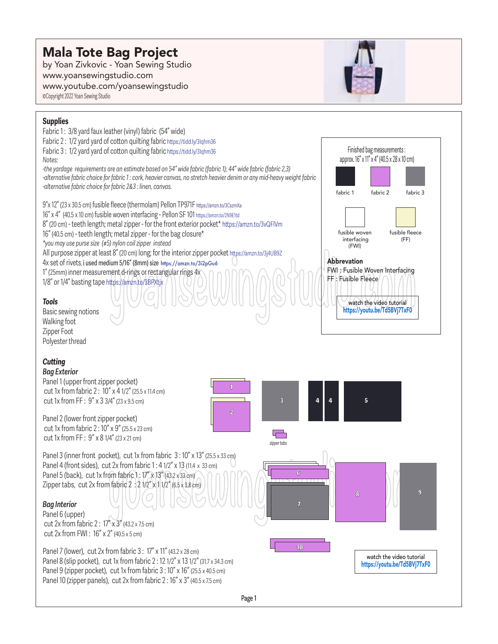## Mala Tote Bag Project

by Yoan Zivkovic - Yoan Sewing Studio www.yoansewingstudio.com www.youtube.com/yoansewingstudio ©Copyright 2022 Yoan Sewing Studio



## **Supplies** Fabric 1: 3/8 yard faux leather (vinyl) fabric (54" wide) Fabric 2:  $1/2$  yard yard of cotton quilting fabric https://tidd.ly/3Iqhm36 Finished bag measurements : Fabric  $3: 1/2$  yard vard of cotton quilting fabric https://tidd.ly/3Iqhm36 approx. 16" x 11" x 4" (40.5 x 28 x 10 cm) *Notes: -the yardage requirements are an estimate based on 54" wide fabric (fabric 1); 44" wide fabric (fabric 2,3) -alternative fabric choice for fabric 1 : cork, heavier canvas, no stretch heavier denim or any mid-heavy weight fabric -alternative fabric choice for fabric 2&3 : linen, canvas.* fabric 1 fabric 2 fabric 3 9"x 12" (23 x 30.5 cm) fusible fleece (thermolam) Pellon TP971F https://amzn.to/3CszmXa 16" x 4" (40.5 x 10 cm) fusible woven interfacing - Pellon SF 101 https://amzn.to/2N9E1td 8" (20 cm) - teeth length; metal zipper - for the front exterior pocket\* https://amzn.to/3vQFlVm fusible woven fusible fleece 16" (40.5 cm) - teeth length; metal zipper - for the bag closure\* interfacing (FF) *\*you may use purse size (#5) nylon coil zipper instead* (FWI) All purpose zipper at least 8" (20 cm) long; for the interior zipper pocket https://amzn.to/3j4UB9Z Abbrevation 4x set of rivets, i used medium 5/16" (8mm) size https://amzn.to/3i2pGu6 FWI : Fusible Woven Interfacing 1" (25mm) inner measurement d-rings or rectangular rings 4x FF : Fusible Fleece 1/8" or 1/4" basting tape https://amzn.to/3BPXtjx thes://amzn.to/3BPXtjx<br>
COMPOSITIVE COMPOSITION:///watch the video tutorial<br>
https://youtu.be/Td5BVi7TxF0 *Tools*  watch the video tutorial https://youtu.be/Td5BVj7TxF0 Basic sewing notions Walking foot Zipper Foot Polyester thread **Cutting** *Bag Exterior* Panel 1 (upper front zipper pocket) 1 cut 1x from fabric  $2: 10''$  x 4 1/2" (25.5 x 11.4 cm) cut 1x from FF:  $9'' \times 33/4''$  (23 x 9.5 cm)  $3 \parallel 4 \parallel 4 \parallel 5$ 2 Panel 2 (lower front zipper pocket) cut 1x from fabric 2 : 10" x 9" (25.5 x 23 cm) ┲╧ cut 1x from FF:  $9'' \times 81/4''$  (23 x 21 cm) *zipper tabs* Panel 3 (inner front pocket), cut 1x from fabric  $3:10''$  x 13" (25.5 x 33 cm) Panel 4 (front sides), cut 2x from fabric 1: 4 1/2" x 13 (11.4 x 33 cm) 6 Panel 5 (back), cut 1x from fabric  $1:17'' \times 13''$  (43.2 x 33 cm) Zipper tabs, cut 2x from fabric  $2:21/2" \times 11/2"$  (6.5 x 3.8 cm) **yoansewingstudio.com** 8 9 7 *Bag Interior* Panel 6 (upper) cut 2x from fabric 2:  $17'' \times 3''$  (43.2 x 7.5 cm) cut 2x from FWI : 16" x 2" (40.5 x 5 cm) 10 Panel 7 (lower), cut 2x from fabric 3: 17" x 11" (43.2 x 28 cm) watch the video tutorial Panel 8 (slip pocket), cut 1x from fabric 2 : 12 1/2" x 13 1/2" (31.7 x 34.3 cm) https://youtu.be/Td5BVj7TxF0 Panel 9 (zipper pocket), cut 1x from fabric 3 : 10" x 16" (25.5 x 40.5 cm) Panel 10 (zipper panels), cut 2x from fabric 2:16" x 3" (40.5 x 7.5 cm)

Page 1